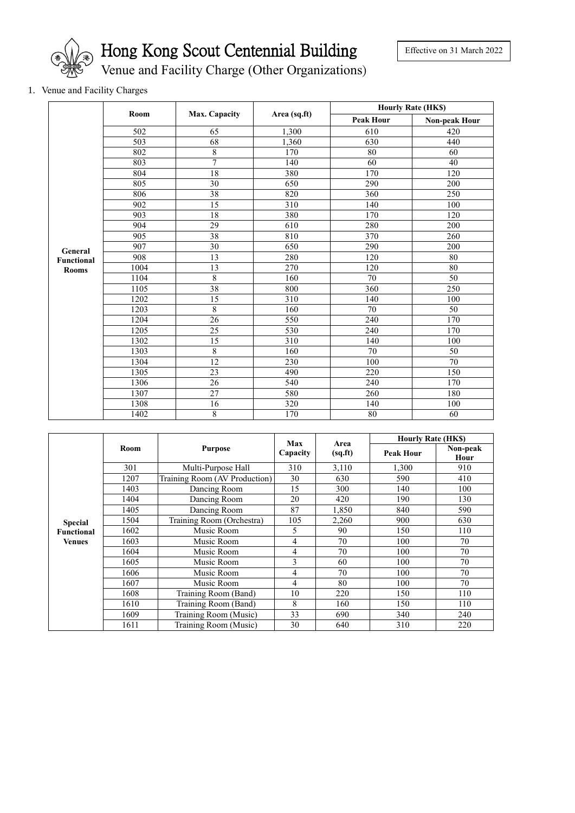

Hong Kong Scout Centennial Building

Venue and Facility Charge (Other Organizations)

## 1. Venue and Facility Charges

|                                   | Room | <b>Max. Capacity</b> |              | <b>Hourly Rate (HK\$)</b> |                      |  |
|-----------------------------------|------|----------------------|--------------|---------------------------|----------------------|--|
|                                   |      |                      | Area (sq.ft) | <b>Peak Hour</b>          | <b>Non-peak Hour</b> |  |
|                                   | 502  | 65                   | 1,300        | 610                       | 420                  |  |
|                                   | 503  | 68                   | 1,360        | 630                       | 440                  |  |
|                                   | 802  | 8                    | 170          | 80                        | 60                   |  |
|                                   | 803  | 7                    | 140          | 60                        | 40                   |  |
|                                   | 804  | 18                   | 380          | 170                       | 120                  |  |
|                                   | 805  | $\overline{30}$      | 650          | 290                       | 200                  |  |
|                                   | 806  | 38                   | 820          | 360                       | 250                  |  |
|                                   | 902  | 15                   | 310          | 140                       | 100                  |  |
|                                   | 903  | 18                   | 380          | 170                       | 120                  |  |
|                                   | 904  | 29                   | 610          | 280                       | 200                  |  |
|                                   | 905  | 38                   | 810          | 370                       | 260                  |  |
| General                           | 907  | $\overline{30}$      | 650          | 290                       | 200                  |  |
| <b>Functional</b><br><b>Rooms</b> | 908  | 13                   | 280          | 120                       | 80                   |  |
|                                   | 1004 | 13                   | 270          | 120                       | 80                   |  |
|                                   | 1104 | $\overline{8}$       | 160          | 70                        | 50                   |  |
|                                   | 1105 | 38                   | 800          | 360                       | 250                  |  |
|                                   | 1202 | $\overline{15}$      | 310          | 140                       | 100                  |  |
|                                   | 1203 | 8                    | 160          | 70                        | 50                   |  |
|                                   | 1204 | $\overline{26}$      | 550          | 240                       | 170                  |  |
|                                   | 1205 | $\overline{25}$      | 530          | 240                       | 170                  |  |
|                                   | 1302 | $\overline{15}$      | 310          | 140                       | 100                  |  |
|                                   | 1303 | $\overline{8}$       | 160          | 70                        | 50                   |  |
|                                   | 1304 | 12                   | 230          | 100                       | 70                   |  |
|                                   | 1305 | 23                   | 490          | 220                       | 150                  |  |
|                                   | 1306 | 26                   | 540          | 240                       | 170                  |  |
|                                   | 1307 | 27                   | 580          | 260                       | 180                  |  |
|                                   | 1308 | 16                   | 320          | 140                       | 100                  |  |
|                                   | 1402 | 8                    | 170          | 80                        | 60                   |  |

|                   |      |                               | <b>Max</b><br>Capacity | Area<br>(sq.fr) | <b>Hourly Rate (HKS)</b> |                  |
|-------------------|------|-------------------------------|------------------------|-----------------|--------------------------|------------------|
|                   | Room | <b>Purpose</b>                |                        |                 | <b>Peak Hour</b>         | Non-peak<br>Hour |
|                   | 301  | Multi-Purpose Hall            | 310                    | 3,110           | 1,300                    | 910              |
|                   | 1207 | Training Room (AV Production) | 30                     | 630             | 590                      | 410              |
|                   | 1403 | Dancing Room                  | 15                     | 300             | 140                      | 100              |
|                   | 1404 | Dancing Room                  | 20                     | 420             | 190                      | 130              |
|                   | 1405 | Dancing Room                  | 87                     | 1,850           | 840                      | 590              |
| <b>Special</b>    | 504  | Training Room (Orchestra)     | 105                    | 2,260           | 900                      | 630              |
| <b>Functional</b> | 1602 | Music Room                    | 5                      | 90              | 150                      | 110              |
| <b>Venues</b>     | 1603 | Music Room                    | 4                      | 70              | 100                      | 70               |
|                   | 1604 | Music Room                    | 4                      | 70              | 100                      | 70               |
|                   | 1605 | Music Room                    | 3                      | 60              | 100                      | 70               |
|                   | 1606 | Music Room                    | 4                      | 70              | 100                      | 70               |
|                   | 1607 | Music Room                    | 4                      | 80              | 100                      | 70               |
|                   | 1608 | Training Room (Band)          | 10                     | 220             | 150                      | 110              |
|                   | 1610 | Training Room (Band)          | 8                      | 160             | 150                      | 110              |
|                   | 1609 | Training Room (Music)         | 33                     | 690             | 340                      | 240              |
|                   | 1611 | Training Room (Music)         | 30                     | 640             | 310                      | 220              |